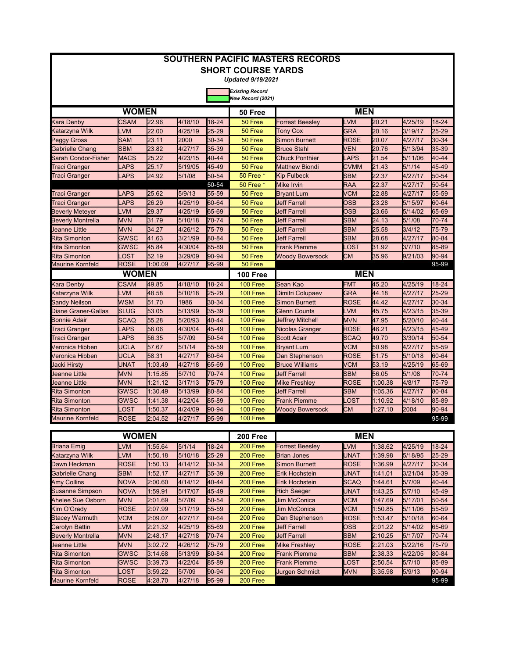|                            |              |         |         |           | <b>SHORT COURSE YARDS</b> | <b>SOUTHERN PACIFIC MASTERS RECORDS</b> |             |         |         |       |
|----------------------------|--------------|---------|---------|-----------|---------------------------|-----------------------------------------|-------------|---------|---------|-------|
|                            |              |         |         |           | <b>Updated 9/19/2021</b>  |                                         |             |         |         |       |
|                            |              |         |         |           | <b>Existing Record</b>    |                                         |             |         |         |       |
|                            |              |         |         |           | New Record (2021)         |                                         |             |         |         |       |
|                            | <b>WOMEN</b> |         |         |           | 50 Free                   |                                         | <b>MEN</b>  |         |         |       |
| Kara Denby                 | CSAM         | 22.96   | 4/18/10 | 18-24     | 50 Free                   | Forrest Beesley                         | LVM         | 20.21   | 4/25/19 | 18-24 |
| Katarzyna Wilk             | LVM          | 22.00   | 4/25/19 | 25-29     | 50 Free                   | <b>Tony Cox</b>                         | <b>GRA</b>  | 20.16   | 3/19/17 | 25-29 |
| <b>Peggy Gross</b>         | SAM          | 23.11   | 2000    | 30-34     | 50 Free                   | Simon Burnett                           | ROSE        | 20.07   | 4/27/17 | 30-34 |
| <b>Gabrielle Chang</b>     | <b>SBM</b>   | 23.82   | 4/27/17 | 35-39     | 50 Free                   | <b>Bruce Stahl</b>                      | <b>VEN</b>  | 20.76   | 5/13/94 | 35-39 |
| Sarah Condor-Fisher        | <b>MACS</b>  | 25.22   | 4/23/15 | 40-44     | 50 Free                   | <b>Chuck Ponthier</b>                   | LAPS        | 21.54   | 5/11/06 | 40-44 |
| Traci Granger              | <b>LAPS</b>  | 25.17   | 5/19/05 | 45-49     | 50 Free                   | <b>Matthew Biondi</b>                   | <b>CVMM</b> | 21.43   | 5/1/14  | 45-49 |
| Traci Granger              | <b>LAPS</b>  | 24.92   | 5/1/08  | 50-54     | 50 Free *                 | <b>Kip Fulbeck</b>                      | <b>SBM</b>  | 22.37   | 4/27/17 | 50-54 |
|                            |              |         |         | 50-54     | 50 Free *                 | Mike Irvin                              | RAA         | 22.37   | 4/27/17 | 50-54 |
| Traci Granger              | <b>LAPS</b>  | 25.62   | 5/9/13  | 55-59     | 50 Free                   | Bryant Lum                              | VCM         | 22.88   | 4/27/17 | 55-59 |
| Traci Granger              | LAPS         | 26.29   | 4/25/19 | 60-64     | 50 Free                   | <b>Jeff Farrell</b>                     | OSB         | 23.28   | 5/15/97 | 60-64 |
| <b>Beverly Meteyer</b>     | LVM          | 29.37   | 4/25/19 | 65-69     | 50 Free                   | <b>Jeff Farrell</b>                     | <b>OSB</b>  | 23.66   | 5/14/02 | 65-69 |
| <b>Beverly Montrella</b>   | <b>MVN</b>   | 31.79   | 5/10/18 | 70-74     | 50 Free                   | <b>Jeff Farrell</b>                     | <b>SBM</b>  | 24.13   | 5/1/08  | 70-74 |
| Ueanne Little              | <b>MVN</b>   | 34.27   | 4/26/12 | 75-79     | 50 Free                   | <b>Jeff Farrell</b>                     | <b>SBM</b>  | 25.58   | 3/4/12  | 75-79 |
| <b>Rita Simonton</b>       | GWSC         | 41.63   | 3/21/99 | 80-84     | 50 Free                   | <b>Jeff Farrell</b>                     | <b>SBM</b>  | 28.68   | 4/27/17 | 80-84 |
| <b>Rita Simonton</b>       | GWSC         | 45.84   | 4/30/04 | 85-89     | 50 Free                   | <b>Frank Piemme</b>                     | .OST        | 31.92   | 3/7/10  | 85-89 |
| <b>Rita Simonton</b>       | LOST         | 52.19   | 3/29/09 | 90-94     | 50 Free                   | <b>Woody Bowersock</b>                  | <b>CM</b>   | 35.96   | 9/21/03 | 90-94 |
| <b>Maurine Kornfeld</b>    | <b>ROSE</b>  | 1:00.09 | 4/27/17 | 95-99     | 50 Free                   |                                         |             |         |         | 95-99 |
|                            | <b>WOMEN</b> |         |         |           | <b>100 Free</b>           |                                         |             |         |         |       |
| <b>Kara Denby</b>          | <b>CSAM</b>  | 49.85   | 4/18/10 | $18 - 24$ | 100 Free                  | Sean Kao                                | <b>FMT</b>  | 45.20   | 4/25/19 | 18-24 |
| Katarzyna Wilk             | <b>LVM</b>   | 48.58   | 5/10/18 | 25-29     | 100 Free                  | Dimitri Colupaev                        | GRA         | 44.18   | 4/27/17 | 25-29 |
| <b>Sandy Neilson</b>       | WSM          | 51.70   | 1986    | 30-34     | 100 Free                  | Simon Burnett                           | ROSE        | 44.42   | 4/27/17 | 30-34 |
| <b>Diane Graner-Gallas</b> | <b>SLUG</b>  | 53.05   | 5/13/99 | 35-39     | 100 Free                  | Glenn Counts                            | LVM         | 45.75   | 4/23/15 | 35-39 |
| <b>Bonnie Adair</b>        | <b>SCAQ</b>  | 55.28   | 5/20/93 | 40-44     | 100 Free                  | <b>Jeffrey Mitchell</b>                 | <b>MVN</b>  | 47.95   | 5/20/10 | 40-44 |
| Traci Granger              | <b>LAPS</b>  | 56.06   | 4/30/04 | 45-49     | 100 Free                  | Nicolas Granger                         | <b>ROSE</b> | 46.21   | 4/23/15 | 45-49 |
| Traci Granger              | LAPS         | 56.35   | 5/7/09  | 50-54     | <b>100 Free</b>           | <b>Scott Adair</b>                      | SCAQ        | 49.70   | 3/30/14 | 50-54 |
| Veronica Hibben            | UCLA         | 57.67   | 5/1/14  | 55-59     | 100 Free                  | <b>Bryant Lum</b>                       | <b>VCM</b>  | 50.98   | 4/27/17 | 55-59 |
| Veronica Hibben            | <b>UCLA</b>  | 58.31   | 4/27/17 | 60-64     | 100 Free                  | Dan Stephenson                          | ROSE        | 51.75   | 5/10/18 | 60-64 |
| Jacki Hirsty               | UNAT         | 1:03.49 | 4/27/18 | 65-69     | 100 Free                  | <b>Bruce Williams</b>                   | <b>VCM</b>  | 53.19   | 4/25/19 | 65-69 |
| Jeanne Little              | <b>MVN</b>   | 1:15.85 | 5/7/10  | 70-74     | 100 Free                  | <b>Jeff Farrell</b>                     | <b>SBM</b>  | 56.05   | 5/1/08  | 70-74 |
| Ueanne Little              | <b>MVN</b>   | 1:21.12 | 3/17/13 | 75-79     | <b>100 Free</b>           | Mike Freshley                           | <b>ROSE</b> | 1:00.38 | 4/8/17  | 75-79 |
| <b>Rita Simonton</b>       | <b>GWSC</b>  | 1:30.49 | 5/13/99 | 80-84     | 100 Free                  | <b>Jeff Farrell</b>                     | <b>SBM</b>  | 1:05.36 | 4/27/17 | 80-84 |
| <b>Rita Simonton</b>       | GWSC         | 1:41.38 | 4/22/04 | 85-89     | 100 Free                  | Frank Piemme                            | _OST        | 1:10.92 | 4/18/10 | 85-89 |
| <b>Rita Simonton</b>       | LOST         | 1:50.37 | 4/24/09 | 90-94     | 100 Free                  | <b>Woody Bowersock</b>                  | CМ          | 1:27.10 | 2004    | 90-94 |
| <b>Maurine Kornfeld</b>    | <b>ROSE</b>  | 2:04.52 | 4/27/17 | 95-99     | 100 Free                  |                                         |             |         |         | 95-99 |

|                          | WOMEN       |         |         |           |          | <b>MEN</b>             |             |         |         |             |
|--------------------------|-------------|---------|---------|-----------|----------|------------------------|-------------|---------|---------|-------------|
| Briana Emig              | .VM         | 1:55.64 | 5/1/14  | 18-24     | 200 Free | <b>Forrest Beeslev</b> | <b>LVM</b>  | 1:38.62 | 4/25/19 | 18-24       |
| Katarzyna Wilk           | -VM         | 1:50.18 | 5/10/18 | $25 - 29$ | 200 Free | <b>Brian Jones</b>     | <b>UNAT</b> | 1:39.98 | 5/18/95 | $25 - 29$   |
| Dawn Heckman             | <b>ROSE</b> | 1:50.13 | 4/14/12 | 30-34     | 200 Free | <b>Simon Burnett</b>   | <b>ROSE</b> | 1:36.99 | 4/27/17 | 30-34       |
| Gabrielle Chang          | <b>SBM</b>  | 1:52.17 | 4/27/17 | 35-39     | 200 Free | Erik Hochstein         | <b>UNAT</b> | 1:41.01 | 3/21/04 | 35-39       |
| <b>Amy Collins</b>       | <b>NOVA</b> | 2:00.60 | 4/14/12 | $40 - 44$ | 200 Free | Erik Hochstein         | <b>SCAQ</b> | 1:44.61 | 5/7/09  | 40-44       |
| <b>Susanne Simpson</b>   | <b>NOVA</b> | 1:59.91 | 5/17/07 | 45-49     | 200 Free | <b>Rich Saeger</b>     | UNAT        | 1:43.25 | 5/7/10  | 45-49       |
| Ahelee Sue Osborn        | <b>MVN</b>  | 2:01.69 | 5/7/09  | 50-54     | 200 Free | <b>Jim McConica</b>    | VCM         | 1:47.69 | 5/17/01 | 50-54       |
| Kim O'Grady              | <b>ROSE</b> | 2:07.99 | 3/17/19 | 55-59     | 200 Free | <b>Jim McConica</b>    | VCM         | 1:50.85 | 5/11/06 | $155 - 59$  |
| <b>Stacey Warmuth</b>    | <b>VCM</b>  | 2:09.07 | 4/27/17 | 60-64     | 200 Free | Dan Stephenson         | <b>ROSE</b> | 1:53.47 | 5/10/18 | 60-64       |
| Carolyn Battin           | LVM         | 2:21.32 | 4/25/19 | 65-69     | 200 Free | <b>Jeff Farrell</b>    | <b>OSB</b>  | 2:01.22 | 5/14/02 | 65-69       |
| <b>Beverly Montrella</b> | <b>MVN</b>  | 2:48.17 | 4/27/18 | 70-74     | 200 Free | <b>Jeff Farrell</b>    | <b>SBM</b>  | 2:10.25 | 5/17/07 | 170-74      |
| Jeanne Little            | <b>MVN</b>  | 3:02.72 | 4/26/12 | 75-79     | 200 Free | <b>Mike Freshlev</b>   | <b>ROSE</b> | 2:21.03 | 5/22/16 | 75-79       |
| <b>Rita Simonton</b>     | <b>GWSC</b> | 3:14.68 | 5/13/99 | 80-84     | 200 Free | <b>Frank Piemme</b>    | <b>SBM</b>  | 2:38.33 | 4/22/05 | $ 80 - 84 $ |
| <b>Rita Simonton</b>     | <b>GWSC</b> | 3:39.73 | 4/22/04 | 85-89     | 200 Free | <b>Frank Piemme</b>    | .OST        | 2:50.54 | 5/7/10  | 85-89       |
| Rita Simonton            | .OST        | 3:59.22 | 5/7/09  | $90 - 94$ | 200 Free | <b>Jurgen Schmidt</b>  | <b>MVN</b>  | 3:35.98 | 5/9/13  | $ 90-94 $   |
| <b>Maurine Kornfeld</b>  | <b>ROSE</b> | 4:28.70 | 4/27/18 | 95-99     | 200 Free |                        |             |         |         | 95-99       |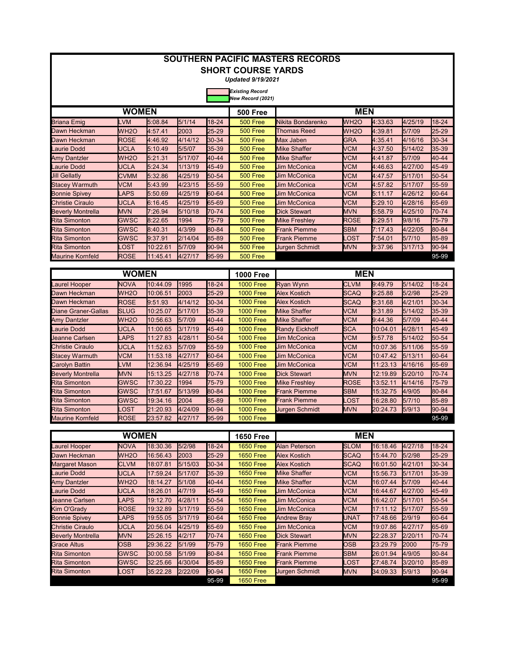|                            |                   |                  |         |           | <b>SHORT COURSE YARDS</b><br><b>Updated 9/19/2021</b> | <b>SOUTHERN PACIFIC MASTERS RECORDS</b> |                   |                  |         |           |
|----------------------------|-------------------|------------------|---------|-----------|-------------------------------------------------------|-----------------------------------------|-------------------|------------------|---------|-----------|
|                            |                   |                  |         |           | <b>Existing Record</b><br>New Record (2021)           |                                         |                   |                  |         |           |
|                            | <b>WOMEN</b>      |                  |         |           | <b>500 Free</b>                                       |                                         | <b>MEN</b>        |                  |         |           |
| <b>Briana Emig</b>         | LVM               | 5:08.84          | 5/1/14  | 18-24     | <b>500 Free</b>                                       | Nikita Bondarenko                       | WH <sub>20</sub>  | 4:33.63          | 4/25/19 | $18 - 24$ |
| Dawn Heckman               | WH <sub>20</sub>  | 4:57.41          | 2003    | $25 - 29$ | 500 Free                                              | <b>Thomas Reed</b>                      | WH <sub>2</sub> O | 4:39.81          | 5/7/09  | 25-29     |
| Dawn Heckman               | <b>ROSE</b>       | 4:46.92          | 4/14/12 | 30-34     | <b>500 Free</b>                                       | Max Jaben                               | <b>GRA</b>        | 4:35.41          | 4/16/16 | 30-34     |
| aurie Dodd                 | <b>UCLA</b>       | 5:10.49          | 5/5/07  | 35-39     | 500 Free                                              | <b>Mike Shaffer</b>                     | <b>VCM</b>        | 4:37.50          | 5/14/02 | 35-39     |
| <b>Amy Dantzler</b>        | WH <sub>2</sub> O | 5:21.31          | 5/17/07 | 40-44     | 500 Free                                              | <b>Mike Shaffer</b>                     | <b>VCM</b>        | 4:41.87          | 5/7/09  | 40-44     |
| aurie Dodd                 | <b>UCLA</b>       | 5:24.34          | 1/13/19 | 45-49     | 500 Free                                              | <b>Jim McConica</b>                     | <b>VCM</b>        | 4:46.63          | 4/27/00 | 45-49     |
| <b>Jill Gellatly</b>       | <b>CVMM</b>       | 5:32.86          | 4/25/19 | 50-54     | 500 Free                                              | <b>Jim McConica</b>                     | <b>VCM</b>        | 4:47.57          | 5/17/01 | 50-54     |
| <b>Stacey Warmuth</b>      | <b>VCM</b>        | 5:43.99          | 4/23/15 | 55-59     | 500 Free                                              | <b>Jim McConica</b>                     | <b>VCM</b>        | 4:57.82          | 5/17/07 | 55-59     |
| <b>Bonnie Spivey</b>       | LAPS              | 5:50.69          | 4/25/19 | 60-64     | 500 Free                                              | <b>Jim McConica</b>                     | <b>VCM</b>        | 5:11.17          | 4/26/12 | 60-64     |
| <b>Christie Ciraulo</b>    | <b>UCLA</b>       | 6:16.45          | 4/25/19 | 65-69     | 500 Free                                              | <b>Jim McConica</b>                     | <b>VCM</b>        | 5:29.10          | 4/28/16 | 65-69     |
| <b>Beverly Montrella</b>   | <b>MVN</b>        | 7:26.94          | 5/10/18 | 70-74     | 500 Free                                              | <b>Dick Stewart</b>                     | <b>MVN</b>        | 5:58.79          | 4/25/10 | 70-74     |
| <b>Rita Simonton</b>       | <b>GWSC</b>       | 8:22.65          | 1994    | 75-79     | 500 Free                                              | <b>Mike Freshlev</b>                    | <b>ROSE</b>       | 6:29.51          | 9/8/16  | 75-79     |
| <b>Rita Simonton</b>       | <b>GWSC</b>       | 8:40.31          | 4/3/99  | 80-84     | 500 Free                                              | Frank Piemme                            | <b>SBM</b>        | 7:17.43          | 4/22/05 | 80-84     |
| <b>Rita Simonton</b>       | GWSC              | 9:37.91          | 2/14/04 | 85-89     | 500 Free                                              | <b>Frank Piemme</b>                     | .OST              | 7:54.01          | 5/7/10  | 85-89     |
| Rita Simonton              | .OST              | 10:22.61         | 5/7/09  | 90-94     | <b>500 Free</b>                                       | Jurgen Schmidt                          | <b>MVN</b>        | 9:37.96          | 3/17/13 | 90-94     |
| <b>Maurine Kornfeld</b>    | <b>ROSE</b>       | 11:45.41         | 4/27/17 | 95-99     | <b>500 Free</b>                                       |                                         |                   |                  |         | 95-99     |
|                            |                   |                  |         |           |                                                       |                                         |                   |                  |         |           |
|                            | <b>WOMEN</b>      |                  |         |           | <b>1000 Free</b>                                      |                                         | <b>MEN</b>        |                  |         |           |
| aurel Hooper               | <b>NOVA</b>       | 10:44.09         | 1995    | $18 - 24$ | <b>1000 Free</b>                                      | <b>Ryan Wynn</b>                        | <b>CLVM</b>       | 9:49.79          | 5/14/02 | 18-24     |
| Dawn Heckman               | WH <sub>2</sub> O | 10:06.51         | 2003    | 25-29     | <b>1000 Free</b>                                      | <b>Alex Kostich</b>                     | <b>SCAQ</b>       | 9:25.88          | 5/2/98  | 25-29     |
| Dawn Heckman               | <b>ROSE</b>       | 9:51.93          | 4/14/12 | 30-34     | <b>1000 Free</b>                                      | <b>Alex Kostich</b>                     | <b>SCAQ</b>       | 9:31.68          | 4/21/01 | 30-34     |
| <b>Diane Graner-Gallas</b> | <b>SLUG</b>       | 10:25.07         | 5/17/01 | 35-39     | <b>1000 Free</b>                                      | <b>Mike Shaffer</b>                     | VCM               | 9:31.89          | 5/14/02 | 35-39     |
| <b>Amy Dantzler</b>        | WH <sub>2</sub> O | 10:56.63         | 5/7/09  | 40-44     | <b>1000 Free</b>                                      | <b>Mike Shaffer</b>                     | <b>VCM</b>        | 9:44.36          | 5/7/09  | 40-44     |
| aurie Dodd                 | <b>UCLA</b>       | 11:00.65         | 3/17/19 | 45-49     | <b>1000 Free</b>                                      | <b>Randy Eickhoff</b>                   | <b>SCA</b>        | 10:04.01         | 4/28/11 | 45-49     |
| Jeanne Carlsen             | LAPS              | 11:27.83         | 4/28/11 | 50-54     | <b>1000 Free</b>                                      | <b>Jim McConica</b>                     | <b>VCM</b>        | 9:57.78          | 5/14/02 | 50-54     |
| <b>Christie Ciraulo</b>    | <b>UCLA</b>       | 11:52.63         | 5/7/09  | 55-59     | <b>1000 Free</b>                                      | <b>Jim McConica</b>                     | <b>VCM</b>        | 10:07.36         | 5/11/06 | 55-59     |
| <b>Stacey Warmuth</b>      | <b>VCM</b>        | 11:53.18         | 4/27/17 | 60-64     | <b>1000 Free</b>                                      | <b>Jim McConica</b>                     | <b>VCM</b>        | 10:47.42         | 5/13/11 | 60-64     |
| Carolyn Battin             | LVM               | 12:36.94         | 4/25/19 | 65-69     | <b>1000 Free</b>                                      | <b>Jim McConica</b>                     | <b>VCM</b>        | 11:23.13         | 4/16/16 | 65-69     |
| <b>Beverly Montrella</b>   | <b>MVN</b>        | 15:13.25         | 4/27/18 | 70-74     | <b>1000 Free</b>                                      | <b>Dick Stewart</b>                     | <b>MVN</b>        | 12:19.89         | 5/20/10 | 70-74     |
| <b>Rita Simonton</b>       | <b>GWSC</b>       | 17:30.22         | 1994    | 75-79     | <b>1000 Free</b>                                      | <b>Mike Freshley</b>                    | <b>ROSE</b>       | 13:52.11         | 4/14/16 | 75-79     |
| <b>Rita Simonton</b>       | <b>GWSC</b>       | 17:51.67         | 5/13/99 | 80-84     | <b>1000 Free</b>                                      | <b>Frank Piemme</b>                     | <b>SBM</b>        | 15:32.75         | 4/9/05  | 80-84     |
| <b>Rita Simonton</b>       | <b>GWSC</b>       | 19:34.16         | 2004    | 85-89     | <b>1000 Free</b>                                      | <b>Frank Piemme</b>                     | .OST              | 16:28.80         | 5/7/10  | 85-89     |
| <b>Rita Simonton</b>       | LOST              | 21:20.93         | 4/24/09 | 90-94     | <b>1000 Free</b>                                      | Jurgen Schmidt                          | <b>MVN</b>        | 20:24.73         | 5/9/13  | 90-94     |
| <b>Maurine Kornfeld</b>    | <b>ROSE</b>       | 23:57.82         | 4/27/17 | 95-99     | <b>1000 Free</b>                                      |                                         |                   |                  |         | 95-99     |
|                            |                   |                  |         |           |                                                       |                                         |                   |                  |         |           |
|                            | <b>WOMEN</b>      |                  |         |           | <b>1650 Free</b>                                      |                                         | <b>MEN</b>        |                  |         |           |
| aurel Hooper.<br>ı         | <b>NOVA</b>       | 18:30.36         | 5/2/98  | 18-24     | <b>1650 Free</b>                                      | <b>Alan Peterson</b>                    | <b>SLOM</b>       | 16:18.46 4/27/18 |         | 18-24     |
| Journ Hookman              | MUDO              | $146.56 12$ 2002 |         | הפי אפ    | $1650$ Eroo                                           | Aloy Kostich                            | C <sub>0</sub>    | $15.1170$ $5200$ |         | _ מפ⊐פ    |

| Laurel Hooper            | <b>NOVA</b>       | 18:30.36        | 5/2/98      | 18-24     | <b>1650 Free</b> | Alan Peterson         | <b>SLOM</b> | 16:18.46 | 4/27/18 | 18-24       |
|--------------------------|-------------------|-----------------|-------------|-----------|------------------|-----------------------|-------------|----------|---------|-------------|
| Dawn Heckman             | WH <sub>2</sub> O | 16:56.43        | <b>2003</b> | $25 - 29$ | <b>1650 Free</b> | <b>Alex Kostich</b>   | <b>SCAQ</b> | 15:44.70 | 5/2/98  | 25-29       |
| <b>Margaret Mason</b>    | <b>CLVM</b>       | 18:07.81        | 5/15/03     | $30-34$   | <b>1650 Free</b> | <b>Alex Kostich</b>   | <b>SCAQ</b> | 16:01.50 | 4/21/01 | 30-34       |
| Laurie Dodd              | UCLA              | 17:59.24        | 5/17/07     | $35-39$   | <b>1650 Free</b> | <b>Mike Shaffer</b>   | VCM         | 15:56.73 | 5/17/01 | $35-39$     |
| <b>Amy Dantzler</b>      | WH <sub>20</sub>  | 18:14.27        | 5/1/08      | 40-44     | <b>1650 Free</b> | <b>Mike Shaffer</b>   | <b>VCM</b>  | 16:07.44 | 5/7/09  | 40-44       |
| Laurie Dodd              | <b>UCLA</b>       | 18:26.01        | 4/7/19      | 45-49     | <b>1650 Free</b> | <b>Jim McConica</b>   | VCM         | 16:44.67 | 4/27/00 | 45-49       |
| Jeanne Carlsen           | <b>LAPS</b>       | 19:12.70        | 4/28/11     | $50 - 54$ | <b>1650 Free</b> | Jim McConica          | VCM         | 16:42.07 | 5/17/01 | $150 - 54$  |
| Kim O'Grady              | <b>ROSE</b>       | 19:32.89        | 3/17/19     | 55-59     | <b>1650 Free</b> | <b>Jim McConica</b>   | <b>VCM</b>  | 17:11.12 | 5/17/07 | $55 - 59$   |
| <b>Bonnie Spivey</b>     | <b>LAPS</b>       | 19:55.05        | 3/17/19     | 60-64     | <b>1650 Free</b> | <b>Andrew Brav</b>    | UNAT        | 17:48.66 | 2/9/19  | 60-64       |
| Christie Ciraulo         | <b>UCLA</b>       | <b>20:56.04</b> | 4/25/19     | 65-69     | <b>1650 Free</b> | Jim McConica          | <b>VCM</b>  | 19:07.86 | 4/27/17 | $ 65-69 $   |
| <b>Beverly Montrella</b> | <b>MVN</b>        | 25:26.15        | 4/2/17      | 70-74     | <b>1650 Free</b> | <b>Dick Stewart</b>   | <b>MVN</b>  | 22:28.37 | 2/20/11 | 170-74      |
| Grace Altus              | <b>OSB</b>        | 29:36.22        | 5/1/99      | 75-79     | <b>1650 Free</b> | Frank Piemme          | <b>OSB</b>  | 23:29.79 | 2000    | 75-79       |
| Rita Simonton            | <b>GWSC</b>       | 30:00.58        | 5/1/99      | 80-84     | <b>1650 Free</b> | Frank Piemme          | <b>SBM</b>  | 26:01.94 | 4/9/05  | $ 80 - 84 $ |
| Rita Simonton            | <b>GWSC</b>       | 32:25.66        | 4/30/04     | 85-89     | <b>1650 Free</b> | <b>Frank Piemme</b>   | LOST        | 27:48.74 | 3/20/10 | $ 85 - 89 $ |
| Rita Simonton            | LOST              | 35:22.28        | 2/22/09     | $90-94$   | <b>1650 Free</b> | <b>Jurgen Schmidt</b> | <b>MVN</b>  | 34:09.33 | 5/9/13  | $90-94$     |
|                          |                   |                 |             | 95-99     | <b>1650 Free</b> |                       |             |          |         | 95-99       |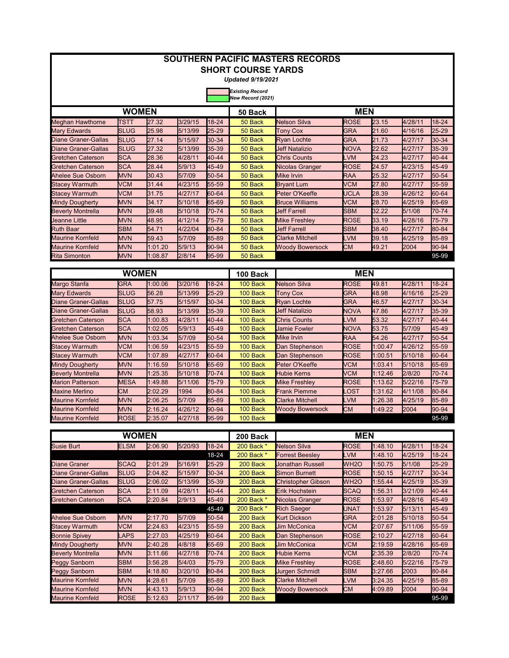| <b>SOUTHERN PACIFIC MASTERS RECORDS</b> |              |         |         |           |                                             |                           |                   |         |         |           |  |  |
|-----------------------------------------|--------------|---------|---------|-----------|---------------------------------------------|---------------------------|-------------------|---------|---------|-----------|--|--|
| <b>SHORT COURSE YARDS</b>               |              |         |         |           |                                             |                           |                   |         |         |           |  |  |
|                                         |              |         |         |           | <b>Updated 9/19/2021</b>                    |                           |                   |         |         |           |  |  |
|                                         |              |         |         |           | <b>Existing Record</b><br>New Record (2021) |                           |                   |         |         |           |  |  |
|                                         | <b>WOMEN</b> |         |         |           | 50 Back                                     |                           | <b>MEN</b>        |         |         |           |  |  |
| <b>Meghan Hawthorne</b>                 | TSTT         | 27.32   | 3/29/15 | $18 - 24$ | 50 Back                                     | <b>Nelson Silva</b>       | <b>ROSE</b>       | 23.15   | 4/28/11 | 18-24     |  |  |
| <b>Mary Edwards</b>                     | <b>SLUG</b>  | 25.98   | 5/13/99 | 25-29     | 50 Back                                     | <b>Tony Cox</b>           | <b>GRA</b>        | 21.60   | 4/16/16 | 25-29     |  |  |
| <b>Diane Graner-Gallas</b>              | <b>SLUG</b>  | 27.14   | 5/15/97 | 30-34     | 50 Back                                     | <b>Ryan Lochte</b>        | GRA               | 21.73   | 4/27/17 | 30-34     |  |  |
| <b>Diane Graner-Gallas</b>              | <b>SLUG</b>  | 27.32   | 5/13/99 | 35-39     | 50 Back                                     | <b>Jeff Natalizio</b>     | NOVA              | 22.62   | 4/27/17 | 35-39     |  |  |
| <b>Gretchen Caterson</b>                | <b>SCA</b>   | 28.36   | 4/28/11 | 40-44     | 50 Back                                     | <b>Chris Counts</b>       | LVM               | 24.23   | 4/27/17 | 40-44     |  |  |
| <b>Gretchen Caterson</b>                | <b>SCA</b>   | 28.44   | 5/9/13  | 45-49     | 50 Back                                     | Nicolas Granger           | <b>ROSE</b>       | 24.57   | 4/23/15 | 45-49     |  |  |
| Ahelee Sue Osborn                       | <b>MVN</b>   | 30.43   | 5/7/09  | 50-54     | 50 Back                                     | <b>Mike Irvin</b>         | <b>RAA</b>        | 25.32   | 4/27/17 | 50-54     |  |  |
| <b>Stacey Warmuth</b>                   | <b>VCM</b>   | 31.44   | 4/23/15 | 55-59     | 50 Back                                     | <b>Bryant Lum</b>         | <b>VCM</b>        | 27.80   | 4/27/17 | 55-59     |  |  |
| <b>Stacey Warmuth</b>                   | VCM          | 31.75   | 4/27/17 | 60-64     | 50 Back                                     | Peter O'Keeffe            | UCLA              | 28.39   | 4/26/12 | 60-64     |  |  |
| <b>Mindy Dougherty</b>                  | <b>MVN</b>   | 34.17   | 5/10/18 | 65-69     | 50 Back                                     | <b>Bruce Williams</b>     | VCM               | 28.70   | 4/25/19 | 65-69     |  |  |
| <b>Beverly Montrella</b>                | MVN          | 39.48   | 5/10/18 | 70-74     | 50 Back                                     | <b>Jeff Farrell</b>       | <b>SBM</b>        | 32.22   | 5/1/08  | 70-74     |  |  |
| Jeanne Little                           | <b>MVN</b>   | 48.95   | 4/12/14 | 75-79     | 50 Back                                     | <b>Mike Freshley</b>      | <b>ROSE</b>       | 33.19   | 4/28/16 | 75-79     |  |  |
| <b>Ruth Baar</b>                        | <b>SBM</b>   | 54.71   | 4/22/04 | 80-84     | 50 Back                                     | <b>Jeff Farrell</b>       | <b>SBM</b>        | 38.40   | 4/27/17 | 80-84     |  |  |
| <b>Maurine Kornfeld</b>                 | <b>MVN</b>   | 59.43   | 5/7/09  | 85-89     | 50 Back                                     | <b>Clarke Mitchell</b>    | LVM               | 39.18   | 4/25/19 | 85-89     |  |  |
| <b>Maurine Kornfeld</b>                 | <b>MVN</b>   | 1:01.20 | 5/9/13  | 90-94     | 50 Back                                     | <b>Woody Bowersock</b>    | CМ                | 49.21   | 2004    | 90-94     |  |  |
| <b>Rita Simonton</b>                    | <b>MVN</b>   | 1:08.87 | 2/8/14  | 95-99     | 50 Back                                     |                           |                   |         |         | 95-99     |  |  |
| <b>WOMEN</b><br><b>MEN</b><br>100 Back  |              |         |         |           |                                             |                           |                   |         |         |           |  |  |
| Margo Stanfa                            | <b>GRA</b>   | 1:00.06 | 3/20/16 | 18-24     | 100 Back                                    | <b>Nelson Silva</b>       | <b>ROSE</b>       | 49.81   | 4/28/11 | 18-24     |  |  |
| <b>Mary Edwards</b>                     | <b>SLUG</b>  | 56.28   | 5/13/99 | 25-29     | 100 Back                                    | <b>Tony Cox</b>           | GRA               | 48.98   | 4/16/16 | 25-29     |  |  |
| <b>Diane Graner-Gallas</b>              | <b>SLUG</b>  | 57.75   | 5/15/97 | 30-34     | 100 Back                                    | <b>Ryan Lochte</b>        | <b>GRA</b>        | 46.57   | 4/27/17 | 30-34     |  |  |
| <b>Diane Graner-Gallas</b>              | <b>SLUG</b>  | 58.93   | 5/13/99 | 35-39     | 100 Back                                    | <b>Jeff Natalizio</b>     | NOVA              | 47.86   | 4/27/17 | 35-39     |  |  |
| Gretchen Caterson                       | <b>SCA</b>   | 1:00.83 | 4/28/11 | 40-44     | 100 Back                                    | <b>Chris Counts</b>       | <b>LVM</b>        | 53.32   | 4/27/17 | 40-44     |  |  |
| <b>Gretchen Caterson</b>                | <b>SCA</b>   | 1:02.05 | 5/9/13  | 45-49     | 100 Back                                    | <b>Jamie Fowler</b>       | <b>NOVA</b>       | 53.75   | 5/7/09  | 45-49     |  |  |
| <b>Ahelee Sue Osborn</b>                | <b>MVN</b>   | 1:03.34 | 5/7/09  | 50-54     | 100 Back                                    | <b>Mike Irvin</b>         | <b>RAA</b>        | 54.26   | 4/27/17 | 50-54     |  |  |
| <b>Stacey Warmuth</b>                   | VCM          | 1:06.59 | 4/23/15 | 55-59     | 100 Back                                    | Dan Stephenson            | ROSE              | 1:00.47 | 4/26/12 | 55-59     |  |  |
| <b>Stacey Warmuth</b>                   | <b>VCM</b>   | 1:07.89 | 4/27/17 | 60-64     | 100 Back                                    | Dan Stephenson            | <b>ROSE</b>       | 1:00.51 | 5/10/18 | 60-64     |  |  |
| <b>Mindy Dougherty</b>                  | <b>MVN</b>   | 1:16.59 | 5/10/18 | 65-69     | 100 Back                                    | Peter O'Keeffe            | <b>VCM</b>        | 1:03.41 | 5/10/18 | 65-69     |  |  |
| <b>Beverly Montrella</b>                | <b>MVN</b>   | 1:25.35 | 5/10/18 | 70-74     | 100 Back                                    | <b>Hubie Kerns</b>        | <b>VCM</b>        | 1:12.46 | 2/8/20  | 70-74     |  |  |
| <b>Marion Patterson</b>                 | <b>MESA</b>  | 1:49.88 | 5/11/06 | 75-79     | 100 Back                                    | <b>Mike Freshley</b>      | ROSE              | 1:13.62 | 5/22/16 | 75-79     |  |  |
| <b>Maxine Merlino</b>                   | <b>CM</b>    | 2:02.29 | 1994    | 80-84     | 100 Back                                    | <b>Frank Piemme</b>       | _OST              | 1:31.62 | 4/11/08 | 80-84     |  |  |
| Maurine Kornfeld                        | <b>MVN</b>   | 2:06.25 | 5/7/09  | 85-89     | 100 Back                                    | <b>Clarke Mitchell</b>    | _VM               | 1:26.38 | 4/25/19 | 85-89     |  |  |
| <b>Maurine Kornfeld</b>                 | <b>MVN</b>   | 2:16.24 | 4/26/12 | 90-94     | 100 Back                                    | <b>Woody Bowersock</b>    | CМ                | 1:49.22 | 2004    | 90-94     |  |  |
| Maurine Kornfeld                        | <b>ROSE</b>  | 2:35.07 | 4/27/18 | 95-99     | 100 Back                                    |                           |                   |         |         | 95-99     |  |  |
|                                         |              |         |         |           |                                             |                           |                   |         |         |           |  |  |
|                                         | <b>WOMEN</b> |         |         |           | <b>200 Back</b>                             |                           | <b>MEN</b>        |         |         |           |  |  |
| Susie Burt                              | <b>ELSM</b>  | 2:06.90 | 5/20/93 | 18-24     | 200 Back *                                  | <b>Nelson Silva</b>       | <b>ROSE</b>       | 1:48.10 | 4/28/11 | $18 - 24$ |  |  |
|                                         |              |         |         | 18-24     | 200 Back *                                  | <b>Forrest Beesley</b>    | LVM               | 1:48.10 | 4/25/19 | $18 - 24$ |  |  |
| <b>Diane Graner</b>                     | <b>SCAQ</b>  | 2:01.29 | 5/16/91 | 25-29     | 200 Back                                    | Jonathan Russell          | WH <sub>2</sub> O | 1:50.75 | 5/1/08  | 25-29     |  |  |
| <b>Diane Graner-Gallas</b>              | <b>SLUG</b>  | 2:04.82 | 5/15/97 | 30-34     | 200 Back                                    | <b>Simon Burnett</b>      | <b>ROSE</b>       | 1:50.15 | 4/27/17 | 30-34     |  |  |
| <b>Diane Graner-Gallas</b>              | <b>SLUG</b>  | 2:06.02 | 5/13/99 | 35-39     | 200 Back                                    | <b>Christopher Gibson</b> | WH <sub>2</sub> O | 1:55.44 | 4/25/19 | 35-39     |  |  |
| <b>Gretchen Caterson</b>                | <b>SCA</b>   | 2:11.09 | 4/28/11 | 40-44     | 200 Back                                    | Erik Hochstein            | <b>SCAQ</b>       | 1:56.31 | 3/21/09 | 40-44     |  |  |
| Gretchen Caterson                       | <b>SCA</b>   | 2:20.84 | 2/9/13  | 45-49     | 200 Back *                                  | Nicolas Granger           | <b>ROSE</b>       | 1:53.97 | 4/28/16 | 45-49     |  |  |
|                                         |              |         |         | 45-49     | 200 Back *                                  | <b>Rich Saeger</b>        | <b>UNAT</b>       | 1:53.97 | 5/13/11 | 45-49     |  |  |
| Ahelee Sue Osborn                       | <b>MVN</b>   | 2:17.70 | 5/7/09  | 50-54     | 200 Back                                    | <b>Kurt Dickson</b>       | <b>GRA</b>        | 2:01.28 | 5/10/18 | 50-54     |  |  |
| <b>Stacey Warmuth</b>                   | <b>VCM</b>   | 2:24.63 | 4/23/15 | 55-59     | 200 Back                                    | Jim McConica              | <b>VCM</b>        | 2:07.67 | 5/11/06 | 55-59     |  |  |
| <b>Bonnie Spivey</b>                    | LAPS         | 2:27.03 | 4/25/19 | 60-64     | 200 Back                                    | Dan Stephenson            | <b>ROSE</b>       | 2:10.27 | 4/27/18 | 60-64     |  |  |
| <b>Mindy Dougherty</b>                  | <b>MVN</b>   | 2:40.28 | 4/8/18  | 65-69     | 200 Back                                    | <b>Jim McConica</b>       | <b>VCM</b>        | 2:19.59 | 4/28/16 | 65-69     |  |  |
| <b>Beverly Montrella</b>                | <b>MVN</b>   | 3:11.66 | 4/27/18 | 70-74     | 200 Back                                    | <b>Hubie Kerns</b>        | <b>VCM</b>        | 2:35.39 | 2/8/20  | 70-74     |  |  |

SBM 3:56.28 5/4/03 75-79 200 Back Mike Freshley ROSE 2:48.60 5/22/16 75-79<br>SBM 4:18.80 3/20/10 80-84 200 Back Jurgen Schmidt SBM 3:27.66 2003 80-84 4:18.80 3/20/10 80-84 200 Back Jurgen Schmidt SBM 3:27.66 2003 MVN 4:28.61 5/7/09 85-89 200 Back Clarke Mitchell LVM 3:24.35 4/25/19 85-89

ROSE 5:12.63 2/11/17 95-99 95-99

Maurine Kornfeld |MVN |4:43.13 |5/9/13 |90-94 | 200 Back |Woody Bowersock |CM |4:09.89 |2004 |90-94

Peggy Sanborn Peggy Sanborn Maurine Kornfeld

Maurine Kornfeld 200 Back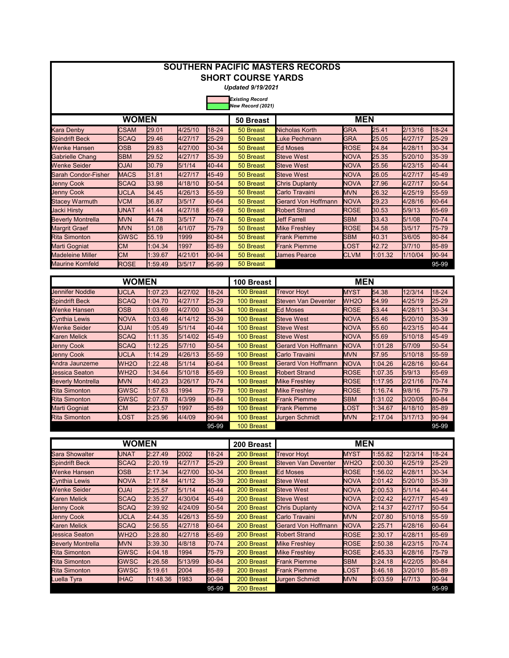|                            |              |         |          |           | <b>SHORT COURSE YARDS</b>                   | <b>SOUTHERN PACIFIC MASTERS RECORDS</b> |              |                   |         |           |
|----------------------------|--------------|---------|----------|-----------|---------------------------------------------|-----------------------------------------|--------------|-------------------|---------|-----------|
|                            |              |         |          |           | <b>Updated 9/19/2021</b>                    |                                         |              |                   |         |           |
|                            |              |         |          |           | <b>Existing Record</b><br>New Record (2021) |                                         |              |                   |         |           |
|                            | <b>WOMEN</b> |         |          |           | 50 Breast                                   |                                         | <b>MEN</b>   |                   |         |           |
| <b>Kara Denby</b>          | <b>CSAM</b>  | 29.01   | 4/25/10  | $18 - 24$ | 50 Breast                                   | <b>Nicholas Korth</b>                   | <b>GRA</b>   | 25.41             | 2/13/16 | $18 - 24$ |
| <b>Spindrift Beck</b>      | <b>SCAQ</b>  | 29.46   | 4/27/17  | $25 - 29$ | 50 Breast                                   | Luke Pechmann                           | <b>GRA</b>   | 25.05             | 4/27/17 | 25-29     |
| Wenke Hansen               | <b>OSB</b>   | 29.83   | 4/27/00  | 30-34     | 50 Breast                                   | <b>Ed Moses</b>                         | <b>ROSE</b>  | 24.84             | 4/28/11 | 30-34     |
| <b>Gabrielle Chang</b>     | <b>SBM</b>   | 29.52   | 4/27/17  | 35-39     | 50 Breast                                   | <b>Steve West</b>                       | <b>NOVA</b>  | 25.35             | 5/20/10 | $35-39$   |
| <b>Wenke Seider</b>        | <b>OJAI</b>  | 30.79   | 5/1/14   | $40 - 44$ | 50 Breast                                   | <b>Steve West</b>                       | <b>NOVA</b>  | 25.56             | 4/23/15 | 40-44     |
| <b>Sarah Condor-Fisher</b> | <b>MACS</b>  | 31.81   | 4/27/17  | 45-49     | 50 Breast                                   | <b>Steve West</b>                       | <b>NOVA</b>  | 26.05             | 4/27/17 | 45-49     |
| <b>Jenny Cook</b>          | <b>SCAQ</b>  | 33.98   | 4/18/10  | 50-54     | 50 Breast                                   | <b>Chris Duplanty</b>                   | <b>NOVA</b>  | 27.96             | 4/27/17 | 50-54     |
| <b>Jenny Cook</b>          | <b>UCLA</b>  | 34.45   | 4/26/13  | 55-59     | 50 Breast                                   | Carlo Travaini                          | <b>MVN</b>   | 26.32             | 4/25/19 | 55-59     |
| <b>Stacey Warmuth</b>      | <b>VCM</b>   | 36.87   | 3/5/17   | 60-64     | 50 Breast                                   | <b>Gerard Von Hoffmann</b>              | <b>NOVA</b>  | 29.23             | 4/28/16 | 60-64     |
| Jacki Hirsty               | <b>UNAT</b>  | 41.44   | 4/27/18  | 65-69     | 50 Breast                                   | <b>Robert Strand</b>                    | <b>ROSE</b>  | 30.53             | 5/9/13  | 65-69     |
| <b>Beverly Montrella</b>   | <b>MVN</b>   | 44.78   | 3/5/17   | 70-74     | 50 Breast                                   | <b>Jeff Farrell</b>                     | <b>SBM</b>   | 33.43             | 5/1/08  | 70-74     |
| <b>Margrit Graef</b>       | <b>MVN</b>   | 51.08   | 4/1/07   | 75-79     | 50 Breast                                   | <b>Mike Freshley</b>                    | <b>ROSE</b>  | 34.58             | 3/5/17  | 75-79     |
| <b>Rita Simonton</b>       | <b>GWSC</b>  | 55.19   | 1999     | 80-84     | 50 Breast                                   | <b>Frank Piemme</b>                     | <b>SBM</b>   | 40.31             | 3/6/05  | 80-84     |
| Marti Gogniat              | <b>CM</b>    | 1:04.34 | 1997     | 85-89     | 50 Breast                                   | <b>Frank Piemme</b>                     | <b>_OST</b>  | 42.72             | 3/7/10  | 85-89     |
| <b>Madeleine Miller</b>    | <b>CM</b>    | 1:39.67 | 4/21/01  | 90-94     | 50 Breast                                   | <b>James Pearce</b>                     | <b>CLVM</b>  | 1:01.32           | 1/10/04 | $90-94$   |
| <b>Maurine Kornfeld</b>    | <b>ROSE</b>  | 1:59.49 | 3/5/17   | 95-99     | 50 Breast                                   |                                         |              |                   |         | 95-99     |
|                            | <b>WOMEN</b> |         |          |           | 100 Breast                                  |                                         | <b>MEN</b>   |                   |         |           |
| <b>Jennifer Noddle</b>     | <b>UCLA</b>  | 1:07.23 | 4/27/02  | $18 - 24$ | 100 Breast                                  | <b>Trevor Hoyt</b>                      | <b>MYST</b>  | 54.38             | 12/3/14 | $18-24$   |
| Caindrift Dools            | 0.000        | 4.0470  | 14.07147 | $hr \sim$ | $400$ Decent                                | Claugh <i>Van Deughber</i>              | $\mathbf{h}$ | $F \wedge \wedge$ | 10F/10  | $hr$ oo   |

| <b>Jennifer Noddle</b>   | <b>UCLA</b>       | 1:07.23 | 4/27/02 | 18-24     | 100 Breast | <b>Trevor Hoyt</b>    | <b>MYST</b>       | 54.38   | 12/3/14 | 18-24       |
|--------------------------|-------------------|---------|---------|-----------|------------|-----------------------|-------------------|---------|---------|-------------|
| <b>Spindrift Beck</b>    | <b>SCAQ</b>       | 1:04.70 | 4/27/17 | $25 - 29$ | 100 Breast | Steven Van Deventer   | WH <sub>2</sub> O | 54.99   | 4/25/19 | $25 - 29$   |
| <b>Wenke Hansen</b>      | <b>OSB</b>        | 1:03.69 | 4/27/00 | $30-34$   | 100 Breast | <b>Ed Moses</b>       | <b>ROSE</b>       | 53.44   | 4/28/11 | $30-34$     |
| <b>Cynthia Lewis</b>     | <b>NOVA</b>       | 1:03.46 | 4/14/12 | 35-39     | 100 Breast | <b>Steve West</b>     | <b>NOVA</b>       | 55.46   | 5/20/10 | $35-39$     |
| <b>Wenke Seider</b>      | <b>OJAI</b>       | 1:05.49 | 5/1/14  | $40 - 44$ | 100 Breast | <b>Steve West</b>     | <b>NOVA</b>       | 55.60   | 4/23/15 | $140 - 44$  |
| <b>Karen Melick</b>      | <b>SCAQ</b>       | 1:11.35 | 5/14/02 | 45-49     | 100 Breast | <b>Steve West</b>     | <b>NOVA</b>       | 55.69   | 5/10/18 | 45-49       |
| <b>Jenny Cook</b>        | <b>SCAQ</b>       | 1:12.25 | 5/7/10  | 50-54     | 100 Breast | Gerard Von Hoffmann   | <b>NOVA</b>       | 1:01.28 | 5/7/09  | $150 - 54$  |
| <b>Jenny Cook</b>        | UCLA              | 1:14.29 | 4/26/13 | 55-59     | 100 Breast | Carlo Travaini        | <b>MVN</b>        | 57.95   | 5/10/18 | $155 - 59$  |
| Andra Jaunzeme           | WH <sub>2</sub> O | 1:22.48 | 5/1/14  | 60-64     | 100 Breast | Gerard Von Hoffmann   | <b>NOVA</b>       | 1:04.26 | 4/28/16 | $160 - 64$  |
| <b>Jessica Seaton</b>    | WH <sub>2</sub> O | 1:34.64 | 5/10/18 | 65-69     | 100 Breast | <b>Robert Strand</b>  | <b>ROSE</b>       | 1:07.35 | 5/9/13  | 65-69       |
| <b>Beverly Montrella</b> | <b>MVN</b>        | 1:40.23 | 3/26/17 | 70-74     | 100 Breast | <b>Mike Freshlev</b>  | <b>ROSE</b>       | 1:17.95 | 2/21/16 | 170-74      |
| <b>Rita Simonton</b>     | <b>GWSC</b>       | 1:57.63 | 1994    | 75-79     | 100 Breast | <b>Mike Freshlev</b>  | <b>ROSE</b>       | 1:16.74 | 9/8/16  | 75-79       |
| <b>Rita Simonton</b>     | <b>GWSC</b>       | 2:07.78 | 4/3/99  | 80-84     | 100 Breast | <b>Frank Piemme</b>   | <b>SBM</b>        | 1:31.02 | 3/20/05 | $ 80 - 84 $ |
| Marti Gogniat            | IСM               | 2:23.57 | 1997    | 85-89     | 100 Breast | <b>Frank Piemme</b>   | LOST              | 1:34.67 | 4/18/10 | $85 - 89$   |
| <b>Rita Simonton</b>     | LOST              | 3:25.96 | 4/4/09  | $90 - 94$ | 100 Breast | <b>Jurgen Schmidt</b> | <b>MVN</b>        | 2:17.04 | 3/17/13 | $ 90-94 $   |
|                          |                   |         |         | 95-99     | 100 Breast |                       |                   |         |         | 95-99       |

|                          | <b>WOMEN</b>      |          |             |           | 200 Breast | <b>MEN</b>                 |                   |         |         |             |
|--------------------------|-------------------|----------|-------------|-----------|------------|----------------------------|-------------------|---------|---------|-------------|
| Sara Showalter           | <b>UNAT</b>       | 2:27.49  | <b>2002</b> | $18 - 24$ | 200 Breast | <b>Trevor Hovt</b>         | <b>MYST</b>       | 1:55.82 | 12/3/14 | 18-24       |
| <b>Spindrift Beck</b>    | <b>SCAQ</b>       | 2:20.19  | 4/27/17     | $25 - 29$ | 200 Breast | Steven Van Deventer        | WH <sub>2</sub> O | 2:00.30 | 4/25/19 | $25 - 29$   |
| <b>Wenke Hansen</b>      | <b>OSB</b>        | 2:17.34  | 4/27/00     | 30-34     | 200 Breast | <b>Ed Moses</b>            | <b>ROSE</b>       | 1:56.02 | 4/28/11 | 30-34       |
| <b>Cynthia Lewis</b>     | <b>NOVA</b>       | 2:17.84  | 4/1/12      | 35-39     | 200 Breast | <b>Steve West</b>          | <b>NOVA</b>       | 2:01.42 | 5/20/10 | $35-39$     |
| <b>Wenke Seider</b>      | <b>IALO</b>       | 2:25.57  | 5/1/14      | 40-44     | 200 Breast | <b>Steve West</b>          | <b>NOVA</b>       | 2:00.53 | 5/1/14  | 40-44       |
| <b>Karen Melick</b>      | <b>SCAQ</b>       | 2:35.27  | 4/30/04     | 45-49     | 200 Breast | <b>Steve West</b>          | <b>NOVA</b>       | 2:02.42 | 4/27/17 | 45-49       |
| <b>Jenny Cook</b>        | <b>SCAQ</b>       | 2:39.92  | 4/24/09     | $50 - 54$ | 200 Breast | <b>Chris Duplanty</b>      | <b>NOVA</b>       | 2:14.37 | 4/27/17 | $150 - 54$  |
| <b>Jenny Cook</b>        | <b>UCLA</b>       | 2:44.35  | 4/26/13     | 55-59     | 200 Breast | Carlo Travaini             | <b>MVN</b>        | 2:07.80 | 5/10/18 | $155 - 59$  |
| <b>Karen Melick</b>      | <b>SCAQ</b>       | 2:56.55  | 4/27/18     | 60-64     | 200 Breast | <b>Gerard Von Hoffmann</b> | <b>NOVA</b>       | 2:25.71 | 4/28/16 | 60-64       |
| <b>Jessica Seaton</b>    | WH <sub>2</sub> O | 3:28.80  | 4/27/18     | 65-69     | 200 Breast | <b>Robert Strand</b>       | <b>ROSE</b>       | 2:30.17 | 4/28/11 | 65-69       |
| <b>Beverly Montrella</b> | <b>MVN</b>        | 3:39.30  | 4/8/18      | 70-74     | 200 Breast | <b>Mike Freshley</b>       | <b>ROSE</b>       | 2:50.38 | 4/23/15 | 170-74      |
| <b>Rita Simonton</b>     | <b>GWSC</b>       | 4:04.18  | 1994        | 75-79     | 200 Breast | <b>Mike Freshlev</b>       | <b>ROSE</b>       | 2:45.33 | 4/28/16 | 175-79      |
| <b>Rita Simonton</b>     | <b>GWSC</b>       | 4:26.58  | 5/13/99     | 80-84     | 200 Breast | <b>Frank Piemme</b>        | <b>SBM</b>        | 3:24.18 | 4/22/05 | $ 80 - 84 $ |
| <b>Rita Simonton</b>     | GWSC              | 5:19.61  | 2004        | 85-89     | 200 Breast | <b>Frank Piemme</b>        | .OST              | 3:46.18 | 3/20/10 | 85-89       |
| Luella Tyra              | <b>IHAC</b>       | 11:48.36 | 1983        | $90 - 94$ | 200 Breast | Jurgen Schmidt             | <b>MVN</b>        | 5:03.59 | 4/7/13  | $ 90-94 $   |
|                          |                   |          |             | 95-99     | 200 Breast |                            |                   |         |         | 95-99       |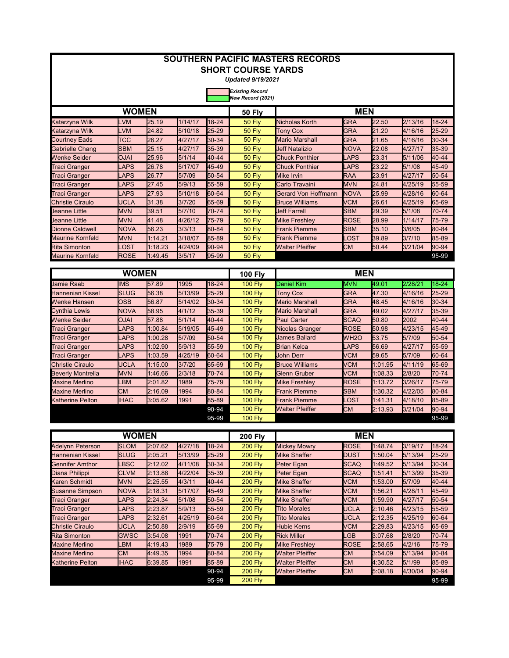| <b>SOUTHERN PACIFIC MASTERS RECORDS</b><br><b>SHORT COURSE YARDS</b><br><b>Updated 9/19/2021</b> |              |         |         |           |                                             |                        |             |         |         |           |  |  |
|--------------------------------------------------------------------------------------------------|--------------|---------|---------|-----------|---------------------------------------------|------------------------|-------------|---------|---------|-----------|--|--|
|                                                                                                  |              |         |         |           | <b>Existing Record</b><br>New Record (2021) |                        |             |         |         |           |  |  |
|                                                                                                  | <b>WOMEN</b> |         |         |           | <b>50 Flv</b>                               |                        | <b>MEN</b>  |         |         |           |  |  |
| Katarzyna Wilk                                                                                   | <b>LVM</b>   | 25.19   | 1/14/17 | 18-24     | <b>50 Fly</b>                               | Nicholas Korth         | <b>GRA</b>  | 22.50   | 2/13/16 | 18-24     |  |  |
| Katarzyna Wilk                                                                                   | LVM          | 24.82   | 5/10/18 | 25-29     | <b>50 Fly</b>                               | <b>Tony Cox</b>        | <b>GRA</b>  | 21.20   | 4/16/16 | 25-29     |  |  |
| <b>Courtney Eads</b>                                                                             | <b>TCC</b>   | 26.27   | 4/27/17 | 30-34     | 50 Fly                                      | <b>Mario Marshall</b>  | <b>GRA</b>  | 21.65   | 4/16/16 | 30-34     |  |  |
| Gabrielle Chang                                                                                  | <b>SBM</b>   | 25.15   | 4/27/17 | 35-39     | <b>50 Fly</b>                               | <b>Jeff Natalizio</b>  | <b>NOVA</b> | 22.08   | 4/27/17 | 35-39     |  |  |
| Wenke Seider                                                                                     | <b>OJAI</b>  | 25.96   | 5/1/14  | 40-44     | 50 Fly                                      | <b>Chuck Ponthier</b>  | LAPS        | 23.31   | 5/11/06 | 40-44     |  |  |
| Traci Granger                                                                                    | LAPS         | 26.78   | 5/17/07 | 45-49     | 50 Fly                                      | <b>Chuck Ponthier</b>  | <b>_APS</b> | 23.22   | 5/1/08  | 45-49     |  |  |
| Traci Granger                                                                                    | <b>LAPS</b>  | 26.77   | 5/7/09  | 50-54     | 50 Fly                                      | <b>Mike Irvin</b>      | <b>RAA</b>  | 23.91   | 4/27/17 | 50-54     |  |  |
| Traci Granger                                                                                    | <b>LAPS</b>  | 27.45   | 5/9/13  | 55-59     | 50 Fly                                      | Carlo Travaini         | <b>MVN</b>  | 24.81   | 4/25/19 | 55-59     |  |  |
| Traci Granger                                                                                    | <b>LAPS</b>  | 27.93   | 5/10/18 | 60-64     | 50 Fly                                      | Gerard Von Hoffmann    | <b>NOVA</b> | 25.99   | 4/28/16 | 60-64     |  |  |
| <b>Christie Ciraulo</b>                                                                          | UCLA         | 31.38   | 3/7/20  | 65-69     | 50 Fly                                      | <b>Bruce Williams</b>  | VCM         | 26.61   | 4/25/19 | 65-69     |  |  |
| <b>Jeanne Little</b>                                                                             | <b>MVN</b>   | 39.51   | 5/7/10  | 70-74     | 50 Fly                                      | <b>Jeff Farrell</b>    | SBM         | 29.39   | 5/1/08  | 70-74     |  |  |
| Ueanne Little                                                                                    | <b>MVN</b>   | 41.48   | 4/26/12 | 75-79     | 50 Fly                                      | <b>Mike Freshley</b>   | <b>ROSE</b> | 28.99   | 1/14/17 | 75-79     |  |  |
| <b>Dionne Caldwell</b>                                                                           | <b>NOVA</b>  | 56.23   | 3/3/13  | 80-84     | 50 Fly                                      | Frank Piemme           | <b>SBM</b>  | 35.10   | 3/6/05  | 80-84     |  |  |
| <b>Maurine Kornfeld</b>                                                                          | <b>MVN</b>   | 1:14.21 | 3/18/07 | 85-89     | 50 Fly                                      | <b>Frank Piemme</b>    | .OST        | 39.89   | 3/7/10  | 85-89     |  |  |
| <b>Rita Simonton</b>                                                                             | _OST         | 1:18.23 | 4/24/09 | 90-94     | 50 Fly                                      | <b>Walter Pfeiffer</b> | <b>CM</b>   | 50.44   | 3/21/04 | 90-94     |  |  |
| <b>Maurine Kornfeld</b>                                                                          | <b>ROSE</b>  | 1:49.45 | 3/5/17  | 95-99     | 50 Fly                                      |                        |             |         |         | 95-99     |  |  |
| <b>WOMEN</b><br><b>MEN</b><br><b>100 Fly</b>                                                     |              |         |         |           |                                             |                        |             |         |         |           |  |  |
| <b>Jamie Raab</b>                                                                                | <b>IMS</b>   | 57.89   | 1995    | 18-24     | <b>100 Fly</b>                              | <b>Daniel Kim</b>      | <b>MVN</b>  | 49.01   | 2/28/21 | $18 - 24$ |  |  |
| <b>Hannenian Kissel</b>                                                                          | <b>SLUG</b>  | 56.38   | 5/13/99 | 25-29     | <b>100 Fly</b>                              | Tony Cox               | <b>GRA</b>  | 47.30   | 4/16/16 | 25-29     |  |  |
| Wenke Hansen                                                                                     | OSB          | 56.87   | 5/14/02 | 30-34     | <b>100 Fly</b>                              | <b>Mario Marshall</b>  | <b>GRA</b>  | 48.45   | 4/16/16 | 30-34     |  |  |
| Cynthia Lewis                                                                                    | <b>NOVA</b>  | 58.95   | 4/1/12  | 35-39     | <b>100 Fly</b>                              | Mario Marshall         | GRA         | 49.02   | 4/27/17 | 35-39     |  |  |
| Wenke Seider                                                                                     | <b>OJAI</b>  | 57.88   | 5/1/14  | 40-44     | <b>100 Fly</b>                              | <b>Paul Carter</b>     | SCAQ        | 50.80   | 2002    | 40-44     |  |  |
| <b>Traci Granger</b>                                                                             | <b>LAPS</b>  | 1:00.84 | 5/19/05 | 45-49     | <b>100 Fly</b>                              | Nicolas Granger        | <b>ROSE</b> | 50.98   | 4/23/15 | 45-49     |  |  |
| Traci Granger                                                                                    | LAPS         | 1:00.28 | 5/7/09  | $50 - 54$ | <b>100 Fly</b>                              | James Ballard          | <b>WH2O</b> | 53.75   | 5/7/09  | 50-54     |  |  |
| Traci Granger                                                                                    | LAPS         | 1:02.90 | 5/9/13  | 55-59     | <b>100 Fly</b>                              | Brian Kelca            | LAPS        | 56.69   | 4/27/17 | 55-59     |  |  |
| Traci Granger                                                                                    | LAPS         | 1:03.59 | 4/25/19 | 60-64     | <b>100 Fly</b>                              | John Derr              | VCM         | 59.65   | 5/7/09  | 60-64     |  |  |
| <b>Christie Ciraulo</b>                                                                          | UCLA         | 1:15.00 | 3/7/20  | 65-69     | <b>100 Fly</b>                              | <b>Bruce Williams</b>  | VCM         | 1:01.95 | 4/11/19 | 65-69     |  |  |
| <b>Beverly Montrella</b>                                                                         | <b>MVN</b>   | 1:46.66 | 2/3/18  | 70-74     | <b>100 Fly</b>                              | <b>Glenn Gruber</b>    | <b>VCM</b>  | 1:08.33 | 2/8/20  | 70-74     |  |  |
| <b>Maxine Merlino</b>                                                                            | LBM          | 2:01.82 | 1989    | 75-79     | <b>100 Fly</b>                              | <b>Mike Freshley</b>   | <b>ROSE</b> | 1:13.72 | 3/26/17 | 75-79     |  |  |
| <b>Maxine Merlino</b>                                                                            | <b>CM</b>    | 2:16.09 | 1994    | 80-84     | <b>100 Fly</b>                              | Frank Piemme           | <b>SBM</b>  | 1:30.32 | 4/22/05 | 80-84     |  |  |
| <b>Katherine Pelton</b>                                                                          | <b>IHAC</b>  | 3:05.62 | 1991    | 85-89     | <b>100 Fly</b>                              | <b>Frank Piemme</b>    | .OST        | 1:41.31 | 4/18/10 | 85-89     |  |  |
|                                                                                                  |              |         |         | 90-94     | <b>100 Flv</b>                              | <b>Walter Pfeiffer</b> | <b>CM</b>   | 2:13.93 | 3/21/04 | 90-94     |  |  |
|                                                                                                  |              |         |         | 95-99     | <b>100 Fly</b>                              |                        |             |         |         | 95-99     |  |  |
|                                                                                                  | <b>WOMEN</b> |         |         |           | <b>200 Fly</b>                              |                        | <b>MEN</b>  |         |         |           |  |  |
| <b>Adelynn Peterson</b>                                                                          | <b>SLOM</b>  | 2:07.62 | 4/27/18 | 18-24     | <b>200 Fly</b>                              | <b>Mickey Mowry</b>    | <b>ROSE</b> | 1:48.74 | 3/19/17 | 18-24     |  |  |
| Hannenian Kissel                                                                                 | <b>SLUG</b>  | 2:05.21 | 5/13/99 | $25 - 29$ | <b>200 Fly</b>                              | Mike Shaffer           | <b>DUST</b> | 1:50.04 | 5/13/94 | 25-29     |  |  |
| <b>Gennifer Amthor</b>                                                                           | LBSC         | 2:12.02 | 4/11/08 | 30-34     | <b>200 Fly</b>                              | Peter Egan             | <b>SCAQ</b> | 1:49.52 | 5/13/94 | 30-34     |  |  |
| Diana Philippi                                                                                   | <b>CLVM</b>  | 2:13.88 | 4/22/04 | 35-39     | <b>200 Fly</b>                              | Peter Egan             | <b>SCAQ</b> | 1:51.41 | 5/13/99 | 35-39     |  |  |
| Karen Schmidt                                                                                    | <b>MVN</b>   | 2:25.55 | 4/3/11  | 40-44     | <b>200 Fly</b>                              | <b>Mike Shaffer</b>    | <b>VCM</b>  | 1:53.00 | 5/7/09  | 40-44     |  |  |
| <b>Susanne Simpson</b>                                                                           | <b>NOVA</b>  | 2:18.31 | 5/17/07 | 45-49     | <b>200 Fly</b>                              | Mike Shaffer           | <b>VCM</b>  | 1:56.21 | 4/28/11 | 45-49     |  |  |
| <b>Traci Granger</b>                                                                             | <b>LAPS</b>  | 2:24.34 | 5/1/08  | 50-54     | <b>200 Fly</b>                              | <b>Mike Shaffer</b>    | <b>VCM</b>  | 1:59.90 | 4/27/17 | 50-54     |  |  |
| <b>Traci Granger</b>                                                                             | <b>LAPS</b>  | 2:23.87 | 5/9/13  | 55-59     | <b>200 Fly</b>                              | <b>Tito Morales</b>    | <b>UCLA</b> | 2:10.46 | 4/23/15 | 55-59     |  |  |
| <b>Traci Granger</b>                                                                             | <b>LAPS</b>  | 2:32.61 | 4/25/19 | 60-64     | <b>200 Fly</b>                              | <b>Tito Morales</b>    | <b>UCLA</b> | 2:12.35 | 4/25/19 | 60-64     |  |  |
| Christie Ciraulo                                                                                 | <b>UCLA</b>  | 2:50.88 | 2/9/19  | 65-69     | <b>200 Fly</b>                              | <b>Hubie Kerns</b>     | <b>VCM</b>  | 2:29.83 | 4/23/15 | 65-69     |  |  |

GWSC |3:54.08 |1991 |70-74 | 200 Fly |Rick Miller |LGB |3:07.68 |2/8/20 |70-74 LBM 4:19.43 1989 75-79 200 Fly Mike Freshley ROSE 2:58.65 4/2/16 75-79 CM 4:49.35 1994 80-84 200 Fly Walter Pfeiffer CM 3:54.09 5/13/94 80-84 IHAC 6:39.85 1991 85-89 200 Fly Walter Pfeiffer CM 4:30.52 5/1/99 85-89<br>90-94 200 Fly Walter Pfeiffer CM 5:08.18 4/30/04 90-94

200 Fly

Rita Simonton 200 Fly Rick Miller

Maxine Merlino Maxine Merlino Katherine Pelton

> 90-94 CM 5:08.18 4/30/04 90-94 200 Fly Walter Pfeiffer 95-99 95-99